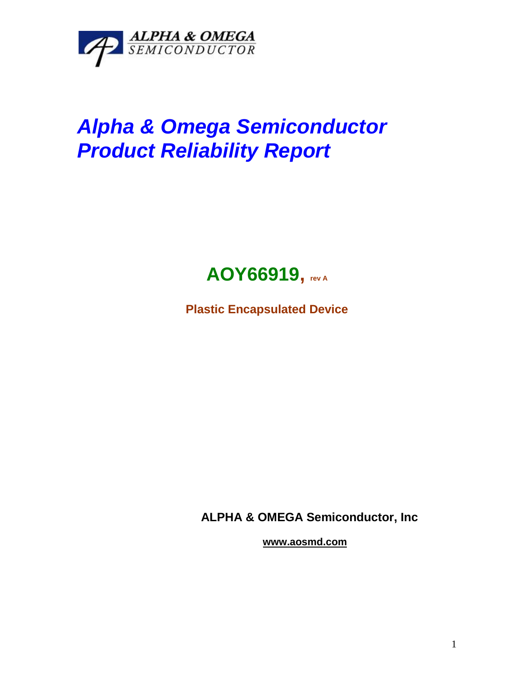

## *Alpha & Omega Semiconductor Product Reliability Report*



**Plastic Encapsulated Device**

**ALPHA & OMEGA Semiconductor, Inc**

**www.aosmd.com**